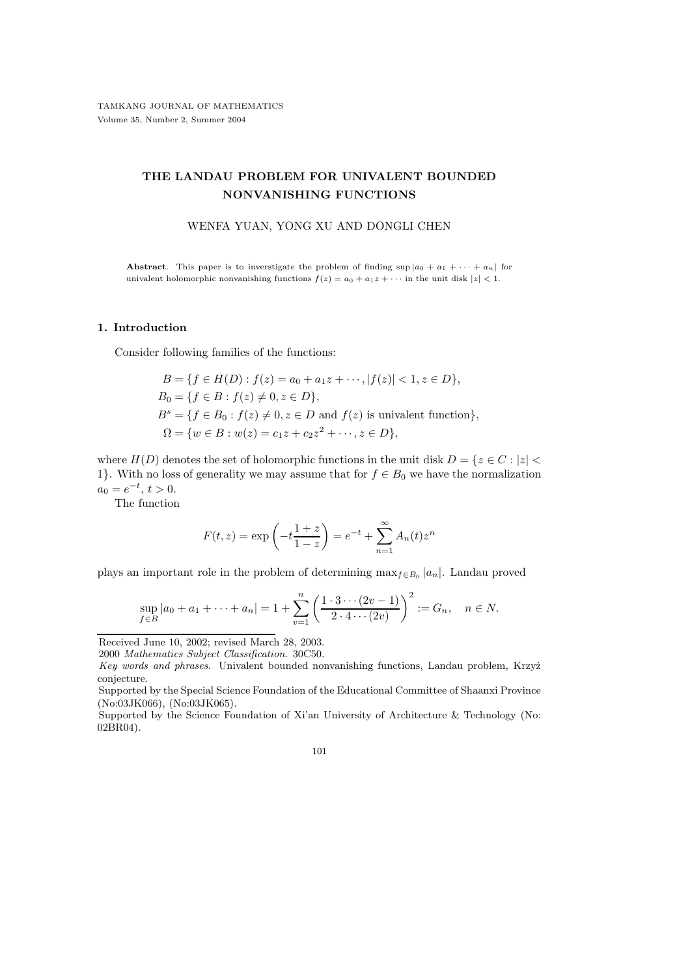# THE LANDAU PROBLEM FOR UNIVALENT BOUNDED NONVANISHING FUNCTIONS

### WENFA YUAN, YONG XU AND DONGLI CHEN

**Abstract.** This paper is to inverstigate the problem of finding  $\sup |a_0 + a_1 + \cdots + a_n|$  for univalent holomorphic nonvanishing functions  $f(z) = a_0 + a_1 z + \cdots$  in the unit disk  $|z| < 1$ .

#### 1. Introduction

Consider following families of the functions:

$$
B = \{ f \in H(D) : f(z) = a_0 + a_1 z + \cdots, |f(z)| < 1, z \in D \},\
$$
  
\n
$$
B_0 = \{ f \in B : f(z) \neq 0, z \in D \},\
$$
  
\n
$$
B^s = \{ f \in B_0 : f(z) \neq 0, z \in D \text{ and } f(z) \text{ is univalent function} \},\
$$
  
\n
$$
\Omega = \{ w \in B : w(z) = c_1 z + c_2 z^2 + \cdots, z \in D \},\
$$

where  $H(D)$  denotes the set of holomorphic functions in the unit disk  $D = \{z \in C : |z| < \infty\}$ 1}. With no loss of generality we may assume that for  $f \in B_0$  we have the normalization  $a_0 = e^{-t}, t > 0.$ 

The function

$$
F(t, z) = \exp\left(-t\frac{1+z}{1-z}\right) = e^{-t} + \sum_{n=1}^{\infty} A_n(t)z^n
$$

plays an important role in the problem of determining  $\max_{f \in B_0} |a_n|$ . Landau proved

$$
\sup_{f \in B} |a_0 + a_1 + \dots + a_n| = 1 + \sum_{v=1}^n \left( \frac{1 \cdot 3 \cdots (2v - 1)}{2 \cdot 4 \cdots (2v)} \right)^2 := G_n, \quad n \in N.
$$

101

Received June 10, 2002; revised March 28, 2003.

<sup>2000</sup> Mathematics Subject Classification. 30C50.

Key words and phrases. Univalent bounded nonvanishing functions, Landau problem, Krzyż conjecture.

Supported by the Special Science Foundation of the Educational Committee of Shaanxi Province (No:03JK066), (No:03JK065).

Supported by the Science Foundation of Xi'an University of Architecture & Technology (No: 02BR04).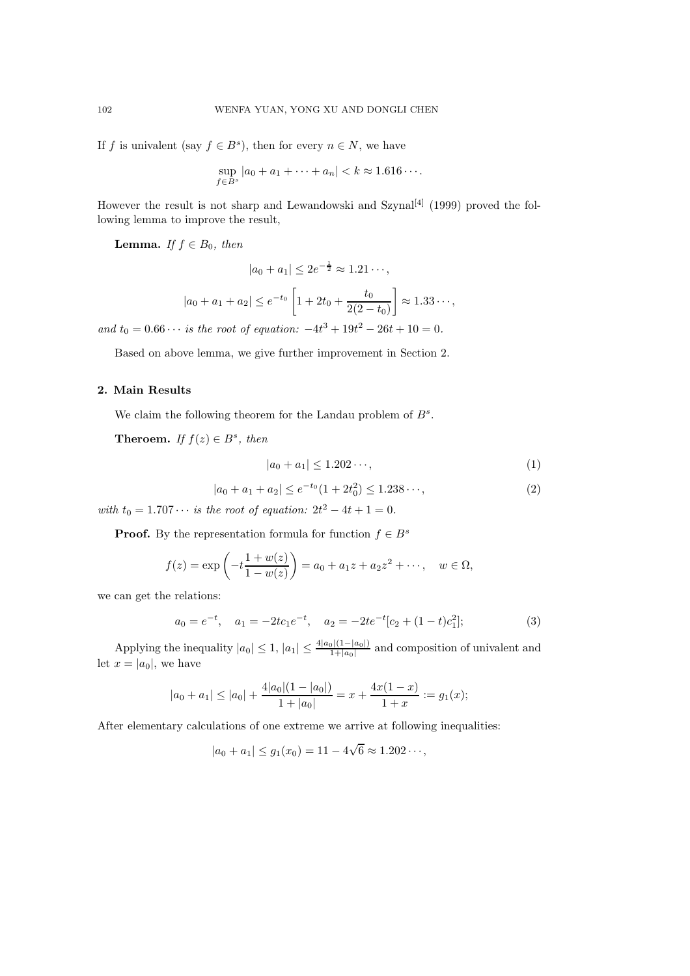If f is univalent (say  $f \in B^s$ ), then for every  $n \in N$ , we have

$$
\sup_{f \in B^s} |a_0 + a_1 + \dots + a_n| < k \approx 1.616 \dots
$$

However the result is not sharp and Lewandowski and Szynal<sup>[4]</sup> (1999) proved the following lemma to improve the result,

**Lemma.** If  $f \in B_0$ , then

$$
|a_0 + a_1| \le 2e^{-\frac{1}{2}} \approx 1.21 \cdots,
$$

$$
|a_0 + a_1 + a_2| \le e^{-t_0} \left[ 1 + 2t_0 + \frac{t_0}{2(2 - t_0)} \right] \approx 1.33 \cdots,
$$

and  $t_0 = 0.66 \cdots$  is the root of equation:  $-4t^3 + 19t^2 - 26t + 10 = 0$ .

Based on above lemma, we give further improvement in Section 2.

## 2. Main Results

We claim the following theorem for the Landau problem of  $B^s$ .

**Theroem.** If  $f(z) \in B^s$ , then

$$
|a_0 + a_1| \le 1.202 \cdots,\tag{1}
$$

$$
|a_0 + a_1 + a_2| \le e^{-t_0} (1 + 2t_0^2) \le 1.238\cdots,
$$
 (2)

with  $t_0 = 1.707 \cdots$  is the root of equation:  $2t^2 - 4t + 1 = 0$ .

**Proof.** By the representation formula for function  $f \in B^s$ 

$$
f(z) = \exp\left(-t\frac{1+w(z)}{1-w(z)}\right) = a_0 + a_1z + a_2z^2 + \cdots, \quad w \in \Omega,
$$

we can get the relations:

$$
a_0 = e^{-t}, \quad a_1 = -2tc_1e^{-t}, \quad a_2 = -2te^{-t}[c_2 + (1-t)c_1^2]; \tag{3}
$$

Applying the inequality  $|a_0| \leq 1$ ,  $|a_1| \leq \frac{4|a_0|(1-|a_0|)}{1+|a_0|}$  and composition of univalent and let  $x = |a_0|$ , we have

$$
|a_0 + a_1| \le |a_0| + \frac{4|a_0|(1 - |a_0|)}{1 + |a_0|} = x + \frac{4x(1 - x)}{1 + x} := g_1(x);
$$

After elementary calculations of one extreme we arrive at following inequalities:

$$
|a_0 + a_1| \le g_1(x_0) = 11 - 4\sqrt{6} \approx 1.202 \cdots,
$$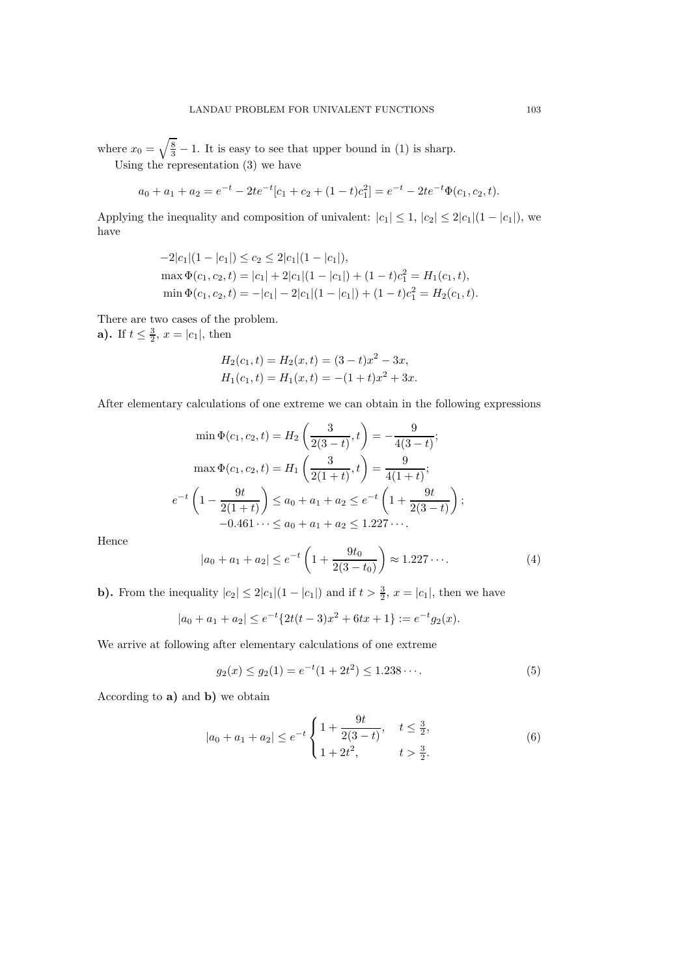where  $x_0 = \sqrt{\frac{8}{3}} - 1$ . It is easy to see that upper bound in (1) is sharp. Using the representation (3) we have

$$
a_0 + a_1 + a_2 = e^{-t} - 2te^{-t}[c_1 + c_2 + (1-t)c_1^2] = e^{-t} - 2te^{-t}\Phi(c_1, c_2, t).
$$

Applying the inequality and composition of univalent:  $|c_1| \leq 1$ ,  $|c_2| \leq 2|c_1|(1 - |c_1|)$ , we have

$$
-2|c_1|(1-|c_1|) \le c_2 \le 2|c_1|(1-|c_1|),
$$
  
\n
$$
\max \Phi(c_1, c_2, t) = |c_1| + 2|c_1|(1-|c_1|) + (1-t)c_1^2 = H_1(c_1, t),
$$
  
\n
$$
\min \Phi(c_1, c_2, t) = -|c_1| - 2|c_1|(1-|c_1|) + (1-t)c_1^2 = H_2(c_1, t).
$$

There are two cases of the problem.

**a**). If  $t \leq \frac{3}{2}$ ,  $x = |c_1|$ , then

$$
H_2(c_1, t) = H_2(x, t) = (3 - t)x^2 - 3x,
$$
  
\n
$$
H_1(c_1, t) = H_1(x, t) = -(1 + t)x^2 + 3x.
$$

After elementary calculations of one extreme we can obtain in the following expressions

$$
\min \Phi(c_1, c_2, t) = H_2\left(\frac{3}{2(3-t)}, t\right) = -\frac{9}{4(3-t)};
$$

$$
\max \Phi(c_1, c_2, t) = H_1\left(\frac{3}{2(1+t)}, t\right) = \frac{9}{4(1+t)};
$$

$$
e^{-t}\left(1 - \frac{9t}{2(1+t)}\right) \le a_0 + a_1 + a_2 \le e^{-t}\left(1 + \frac{9t}{2(3-t)}\right);
$$

$$
-0.461\cdots \le a_0 + a_1 + a_2 \le 1.227\cdots.
$$

Hence

$$
|a_0 + a_1 + a_2| \le e^{-t} \left( 1 + \frac{9t_0}{2(3-t_0)} \right) \approx 1.227 \cdots.
$$
 (4)

**b).** From the inequality  $|c_2| \leq 2|c_1|(1 - |c_1|)$  and if  $t > \frac{3}{2}$ ,  $x = |c_1|$ , then we have

$$
|a_0 + a_1 + a_2| \le e^{-t} \{ 2t(t-3)x^2 + 6tx + 1 \} := e^{-t} g_2(x).
$$

We arrive at following after elementary calculations of one extreme

$$
g_2(x) \le g_2(1) = e^{-t}(1+2t^2) \le 1.238\cdots.
$$
 (5)

According to a) and b) we obtain

$$
|a_0 + a_1 + a_2| \le e^{-t} \begin{cases} 1 + \frac{9t}{2(3-t)}, & t \le \frac{3}{2}, \\ 1 + 2t^2, & t > \frac{3}{2}. \end{cases}
$$
(6)